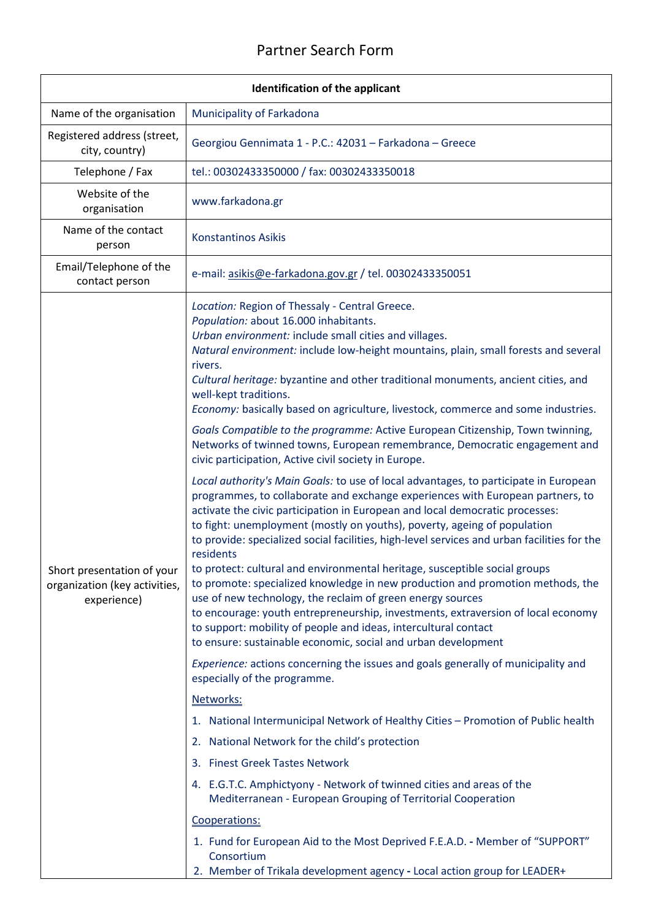## Partner Search Form

| Identification of the applicant                                            |                                                                                                                                                                                                                                                                                                                                                                                                                                                                                                                                                                                                                                                                                                                                                                                                                                                                                                                                                                                                                                                                                                                                                                                                                                                                                                                                                                                                                                                                                                                                                                                                                                                                                                                                                                                                                                                                                                                                                                                                                                                                                                                                                                                                                                     |  |
|----------------------------------------------------------------------------|-------------------------------------------------------------------------------------------------------------------------------------------------------------------------------------------------------------------------------------------------------------------------------------------------------------------------------------------------------------------------------------------------------------------------------------------------------------------------------------------------------------------------------------------------------------------------------------------------------------------------------------------------------------------------------------------------------------------------------------------------------------------------------------------------------------------------------------------------------------------------------------------------------------------------------------------------------------------------------------------------------------------------------------------------------------------------------------------------------------------------------------------------------------------------------------------------------------------------------------------------------------------------------------------------------------------------------------------------------------------------------------------------------------------------------------------------------------------------------------------------------------------------------------------------------------------------------------------------------------------------------------------------------------------------------------------------------------------------------------------------------------------------------------------------------------------------------------------------------------------------------------------------------------------------------------------------------------------------------------------------------------------------------------------------------------------------------------------------------------------------------------------------------------------------------------------------------------------------------------|--|
| Name of the organisation                                                   | Municipality of Farkadona                                                                                                                                                                                                                                                                                                                                                                                                                                                                                                                                                                                                                                                                                                                                                                                                                                                                                                                                                                                                                                                                                                                                                                                                                                                                                                                                                                                                                                                                                                                                                                                                                                                                                                                                                                                                                                                                                                                                                                                                                                                                                                                                                                                                           |  |
| Registered address (street,<br>city, country)                              | Georgiou Gennimata 1 - P.C.: 42031 - Farkadona - Greece                                                                                                                                                                                                                                                                                                                                                                                                                                                                                                                                                                                                                                                                                                                                                                                                                                                                                                                                                                                                                                                                                                                                                                                                                                                                                                                                                                                                                                                                                                                                                                                                                                                                                                                                                                                                                                                                                                                                                                                                                                                                                                                                                                             |  |
| Telephone / Fax                                                            | tel.: 00302433350000 / fax: 00302433350018                                                                                                                                                                                                                                                                                                                                                                                                                                                                                                                                                                                                                                                                                                                                                                                                                                                                                                                                                                                                                                                                                                                                                                                                                                                                                                                                                                                                                                                                                                                                                                                                                                                                                                                                                                                                                                                                                                                                                                                                                                                                                                                                                                                          |  |
| Website of the<br>organisation                                             | www.farkadona.gr                                                                                                                                                                                                                                                                                                                                                                                                                                                                                                                                                                                                                                                                                                                                                                                                                                                                                                                                                                                                                                                                                                                                                                                                                                                                                                                                                                                                                                                                                                                                                                                                                                                                                                                                                                                                                                                                                                                                                                                                                                                                                                                                                                                                                    |  |
| Name of the contact<br>person                                              | <b>Konstantinos Asikis</b>                                                                                                                                                                                                                                                                                                                                                                                                                                                                                                                                                                                                                                                                                                                                                                                                                                                                                                                                                                                                                                                                                                                                                                                                                                                                                                                                                                                                                                                                                                                                                                                                                                                                                                                                                                                                                                                                                                                                                                                                                                                                                                                                                                                                          |  |
| Email/Telephone of the<br>contact person                                   | e-mail: asikis@e-farkadona.gov.gr / tel. 00302433350051                                                                                                                                                                                                                                                                                                                                                                                                                                                                                                                                                                                                                                                                                                                                                                                                                                                                                                                                                                                                                                                                                                                                                                                                                                                                                                                                                                                                                                                                                                                                                                                                                                                                                                                                                                                                                                                                                                                                                                                                                                                                                                                                                                             |  |
| Short presentation of your<br>organization (key activities,<br>experience) | Location: Region of Thessaly - Central Greece.<br>Population: about 16.000 inhabitants.<br>Urban environment: include small cities and villages.<br>Natural environment: include low-height mountains, plain, small forests and several<br>rivers.<br>Cultural heritage: byzantine and other traditional monuments, ancient cities, and<br>well-kept traditions.<br>Economy: basically based on agriculture, livestock, commerce and some industries.<br>Goals Compatible to the programme: Active European Citizenship, Town twinning,<br>Networks of twinned towns, European remembrance, Democratic engagement and<br>civic participation, Active civil society in Europe.<br>Local authority's Main Goals: to use of local advantages, to participate in European<br>programmes, to collaborate and exchange experiences with European partners, to<br>activate the civic participation in European and local democratic processes:<br>to fight: unemployment (mostly on youths), poverty, ageing of population<br>to provide: specialized social facilities, high-level services and urban facilities for the<br>residents<br>to protect: cultural and environmental heritage, susceptible social groups<br>to promote: specialized knowledge in new production and promotion methods, the<br>use of new technology, the reclaim of green energy sources<br>to encourage: youth entrepreneurship, investments, extraversion of local economy<br>to support: mobility of people and ideas, intercultural contact<br>to ensure: sustainable economic, social and urban development<br>Experience: actions concerning the issues and goals generally of municipality and<br>especially of the programme.<br>Networks:<br>1. National Intermunicipal Network of Healthy Cities - Promotion of Public health<br>2. National Network for the child's protection<br>3. Finest Greek Tastes Network<br>4. E.G.T.C. Amphictyony - Network of twinned cities and areas of the<br>Mediterranean - European Grouping of Territorial Cooperation<br>Cooperations:<br>1. Fund for European Aid to the Most Deprived F.E.A.D. - Member of "SUPPORT"<br>Consortium<br>2. Member of Trikala development agency - Local action group for LEADER+ |  |